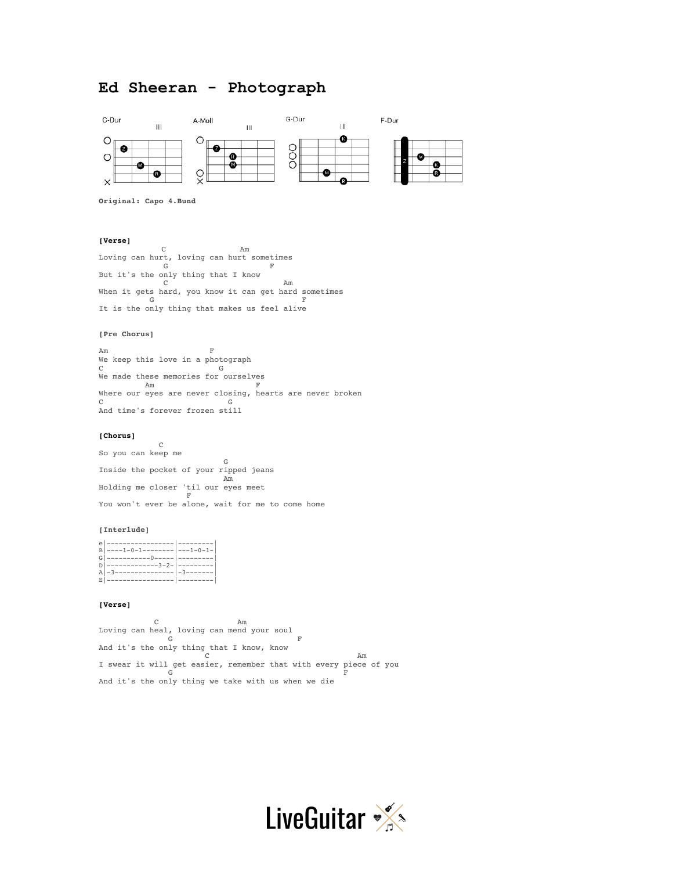# **Ed Sheeran - Photograph**



**Original: Capo 4.Bund**

## **[Verse]**

 C Am Loving can hurt, loving can hurt sometimes G F But it's the only thing that I know C Am When it gets hard, you know it can get hard sometimes G F It is the only thing that makes us feel alive

## **[Pre Chorus]**

Am F We keep this love in a photograph C G We made these memories for ourselves<br>  $\frac{Am}{F}$  Am F Where our eyes are never closing, hearts are never broken C G And time's forever frozen still

#### **[Chorus]**

 C So you can keep me G Inside the pocket of your ripped jeans Am Holding me closer 'til our eyes meet F You won't ever be alone, wait for me to come home

#### **[Interlude]**

|  | $B$  ----1-0-1-------- ---1-0-1-<br>G   ____________0_____   ________<br>D   -------------3-2-   ---------<br>Al-3---------------- -3-------<br>E   __________________   ________ |
|--|-----------------------------------------------------------------------------------------------------------------------------------------------------------------------------------|

## **[Verse]**

 C Am Loving can heal, loving can mend your soul G F And it's the only thing that I know, know<br>C I swear it will get easier, remember that with every piece of you G F And it's the only thing we take with us when we die